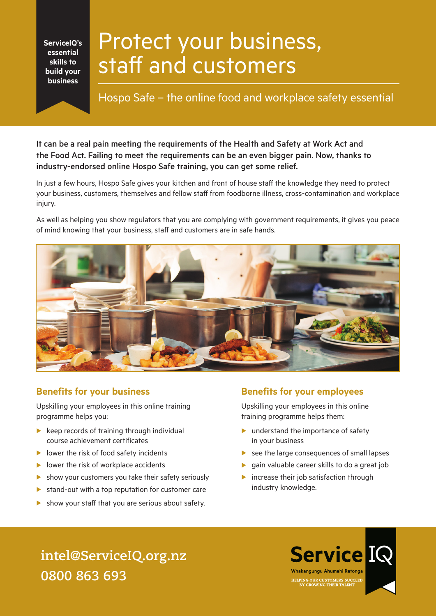**ServiceIQ's essential skills to build your business**

# Protect your business, staff and customers

Hospo Safe – the online food and workplace safety essential

It can be a real pain meeting the requirements of the Health and Safety at Work Act and the Food Act. Failing to meet the requirements can be an even bigger pain. Now, thanks to industry-endorsed online Hospo Safe training, you can get some relief.

In just a few hours, Hospo Safe gives your kitchen and front of house staff the knowledge they need to protect your business, customers, themselves and fellow staff from foodborne illness, cross-contamination and workplace injury.

As well as helping you show regulators that you are complying with government requirements, it gives you peace of mind knowing that your business, staff and customers are in safe hands.



#### **Benefits for your business**

Upskilling your employees in this online training programme helps you:

- $\blacktriangleright$  keep records of training through individual course achievement certificates
- $\blacktriangleright$  lower the risk of food safety incidents
- $\blacktriangleright$  lower the risk of workplace accidents
- $\triangleright$  show your customers you take their safety seriously
- $\blacktriangleright$  stand-out with a top reputation for customer care
- $\triangleright$  show your staff that you are serious about safety.

#### **Benefits for your employees**

Upskilling your employees in this online training programme helps them:

- $\blacktriangleright$  understand the importance of safety in your business
- $\triangleright$  see the large consequences of small lapses
- $\blacktriangleright$  gain valuable career skills to do a great job
- $\blacktriangleright$  increase their job satisfaction through industry knowledge.

**intel@ServiceIQ.org.nz 0800 863 693**

**Service IQ** Whakangungu Ahumahi Ratonga HELPING OUR CUSTOMERS SUCCEED